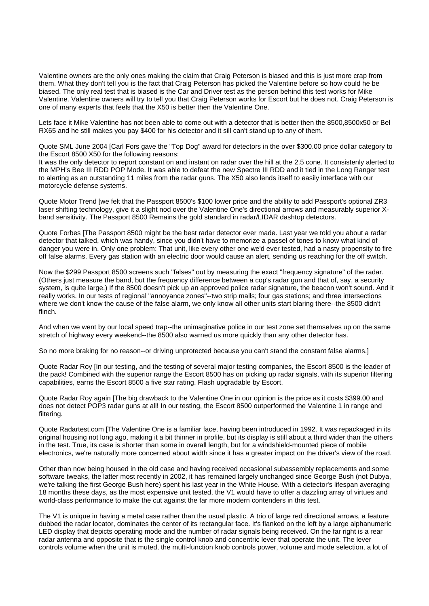Valentine owners are the only ones making the claim that Craig Peterson is biased and this is just more crap from them. What they don't tell you is the fact that Craig Peterson has picked the Valentine before so how could he be biased. The only real test that is biased is the Car and Driver test as the person behind this test works for Mike Valentine. Valentine owners will try to tell you that Craig Peterson works for Escort but he does not. Craig Peterson is one of many experts that feels that the X50 is better then the Valentine One.

Lets face it Mike Valentine has not been able to come out with a detector that is better then the 8500,8500x50 or Bel RX65 and he still makes you pay \$400 for his detector and it sill can't stand up to any of them.

Quote SML June 2004 [Carl Fors gave the "Top Dog" award for detectors in the over \$300.00 price dollar category to the Escort 8500 X50 for the following reasons:

It was the only detector to report constant on and instant on radar over the hill at the 2.5 cone. It consistenly alerted to the MPH's Bee III RDD POP Mode. It was able to defeat the new Spectre III RDD and it tied in the Long Ranger test to alerting as an outstanding 11 miles from the radar guns. The X50 also lends itself to easily interface with our motorcycle defense systems.

Quote Motor Trend [we felt that the Passport 8500's \$100 lower price and the ability to add Passport's optional ZR3 laser shifting technology, give it a slight nod over the Valentine One's directional arrows and measurably superior Xband sensitivity. The Passport 8500 Remains the gold standard in radar/LIDAR dashtop detectors.

Quote Forbes [The Passport 8500 might be the best radar detector ever made. Last year we told you about a radar detector that talked, which was handy, since you didn't have to memorize a passel of tones to know what kind of danger you were in. Only one problem: That unit, like every other one we'd ever tested, had a nasty propensity to fire off false alarms. Every gas station with an electric door would cause an alert, sending us reaching for the off switch.

Now the \$299 Passport 8500 screens such "falses" out by measuring the exact "frequency signature" of the radar. (Others just measure the band, but the frequency difference between a cop's radar gun and that of, say, a security system, is quite large.) If the 8500 doesn't pick up an approved police radar signature, the beacon won't sound. And it really works. In our tests of regional "annoyance zones"--two strip malls; four gas stations; and three intersections where we don't know the cause of the false alarm, we only know all other units start blaring there--the 8500 didn't flinch.

And when we went by our local speed trap--the unimaginative police in our test zone set themselves up on the same stretch of highway every weekend--the 8500 also warned us more quickly than any other detector has.

So no more braking for no reason--or driving unprotected because you can't stand the constant false alarms.]

Quote Radar Roy [In our testing, and the testing of several major testing companies, the Escort 8500 is the leader of the pack! Combined with the superior range the Escort 8500 has on picking up radar signals, with its superior filtering capabilities, earns the Escort 8500 a five star rating. Flash upgradable by Escort.

Quote Radar Roy again [The big drawback to the Valentine One in our opinion is the price as it costs \$399.00 and does not detect POP3 radar guns at all! In our testing, the Escort 8500 outperformed the Valentine 1 in range and filtering.

Quote Radartest.com [The Valentine One is a familiar face, having been introduced in 1992. It was repackaged in its original housing not long ago, making it a bit thinner in profile, but its display is still about a third wider than the others in the test. True, its case is shorter than some in overall length, but for a windshield-mounted piece of mobile electronics, we're naturally more concerned about width since it has a greater impact on the driver's view of the road.

Other than now being housed in the old case and having received occasional subassembly replacements and some software tweaks, the latter most recently in 2002, it has remained largely unchanged since George Bush (not Dubya, we're talking the first George Bush here) spent his last year in the White House. With a detector's lifespan averaging 18 months these days, as the most expensive unit tested, the V1 would have to offer a dazzling array of virtues and world-class performance to make the cut against the far more modern contenders in this test.

The V1 is unique in having a metal case rather than the usual plastic. A trio of large red directional arrows, a feature dubbed the radar locator, dominates the center of its rectangular face. It's flanked on the left by a large alphanumeric LED display that depicts operating mode and the number of radar signals being received. On the far right is a rear radar antenna and opposite that is the single control knob and concentric lever that operate the unit. The lever controls volume when the unit is muted, the multi-function knob controls power, volume and mode selection, a lot of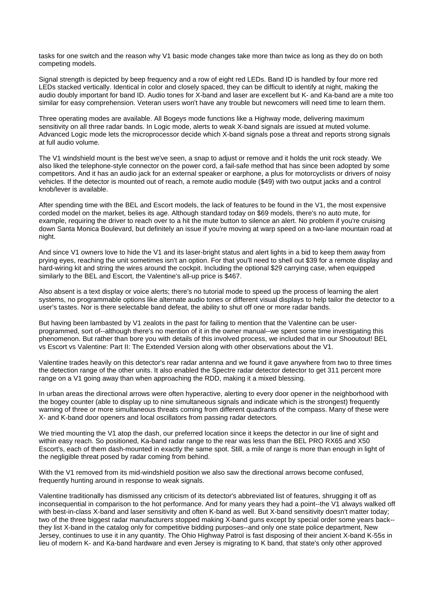tasks for one switch and the reason why V1 basic mode changes take more than twice as long as they do on both competing models.

Signal strength is depicted by beep frequency and a row of eight red LEDs. Band ID is handled by four more red LEDs stacked vertically. Identical in color and closely spaced, they can be difficult to identify at night, making the audio doubly important for band ID. Audio tones for X-band and laser are excellent but K- and Ka-band are a mite too similar for easy comprehension. Veteran users won't have any trouble but newcomers will need time to learn them.

Three operating modes are available. All Bogeys mode functions like a Highway mode, delivering maximum sensitivity on all three radar bands. In Logic mode, alerts to weak X-band signals are issued at muted volume. Advanced Logic mode lets the microprocessor decide which X-band signals pose a threat and reports strong signals at full audio volume.

The V1 windshield mount is the best we've seen, a snap to adjust or remove and it holds the unit rock steady. We also liked the telephone-style connector on the power cord, a fail-safe method that has since been adopted by some competitors. And it has an audio jack for an external speaker or earphone, a plus for motorcyclists or drivers of noisy vehicles. If the detector is mounted out of reach, a remote audio module (\$49) with two output jacks and a control knob/lever is available.

After spending time with the BEL and Escort models, the lack of features to be found in the V1, the most expensive corded model on the market, belies its age. Although standard today on \$69 models, there's no auto mute, for example, requiring the driver to reach over to a hit the mute button to silence an alert. No problem if you're cruising down Santa Monica Boulevard, but definitely an issue if you're moving at warp speed on a two-lane mountain road at night.

And since V1 owners love to hide the V1 and its laser-bright status and alert lights in a bid to keep them away from prying eyes, reaching the unit sometimes isn't an option. For that you'll need to shell out \$39 for a remote display and hard-wiring kit and string the wires around the cockpit. Including the optional \$29 carrying case, when equipped similarly to the BEL and Escort, the Valentine's all-up price is \$467.

Also absent is a text display or voice alerts; there's no tutorial mode to speed up the process of learning the alert systems, no programmable options like alternate audio tones or different visual displays to help tailor the detector to a user's tastes. Nor is there selectable band defeat, the ability to shut off one or more radar bands.

But having been lambasted by V1 zealots in the past for failing to mention that the Valentine can be userprogrammed, sort of--although there's no mention of it in the owner manual--we spent some time investigating this phenomenon. But rather than bore you with details of this involved process, we included that in our Shooutout! BEL vs Escort vs Valentine: Part II: The Extended Version along with other observations about the V1.

Valentine trades heavily on this detector's rear radar antenna and we found it gave anywhere from two to three times the detection range of the other units. It also enabled the Spectre radar detector detector to get 311 percent more range on a V1 going away than when approaching the RDD, making it a mixed blessing.

In urban areas the directional arrows were often hyperactive, alerting to every door opener in the neighborhood with the bogey counter (able to display up to nine simultaneous signals and indicate which is the strongest) frequently warning of three or more simultaneous threats coming from different quadrants of the compass. Many of these were X- and K-band door openers and local oscillators from passing radar detectors.

We tried mounting the V1 atop the dash, our preferred location since it keeps the detector in our line of sight and within easy reach. So positioned, Ka-band radar range to the rear was less than the BEL PRO RX65 and X50 Escort's, each of them dash-mounted in exactly the same spot. Still, a mile of range is more than enough in light of the negligible threat posed by radar coming from behind.

With the V1 removed from its mid-windshield position we also saw the directional arrows become confused, frequently hunting around in response to weak signals.

Valentine traditionally has dismissed any criticism of its detector's abbreviated list of features, shrugging it off as inconsequential in comparison to the hot performance. And for many years they had a point--the V1 always walked off with best-in-class X-band and laser sensitivity and often K-band as well. But X-band sensitivity doesn't matter today; two of the three biggest radar manufacturers stopped making X-band guns except by special order some years back- they list X-band in the catalog only for competitive bidding purposes--and only one state police department, New Jersey, continues to use it in any quantity. The Ohio Highway Patrol is fast disposing of their ancient X-band K-55s in lieu of modern K- and Ka-band hardware and even Jersey is migrating to K band, that state's only other approved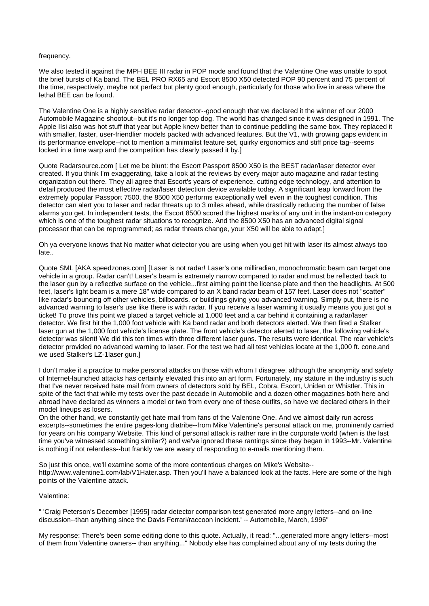#### frequency.

We also tested it against the MPH BEE III radar in POP mode and found that the Valentine One was unable to spot the brief bursts of Ka band. The BEL PRO RX65 and Escort 8500 X50 detected POP 90 percent and 75 percent of the time, respectively, maybe not perfect but plenty good enough, particularly for those who live in areas where the lethal BEE can be found.

The Valentine One is a highly sensitive radar detector--good enough that we declared it the winner of our 2000 Automobile Magazine shootout--but it's no longer top dog. The world has changed since it was designed in 1991. The Apple IIsi also was hot stuff that year but Apple knew better than to continue peddling the same box. They replaced it with smaller, faster, user-friendlier models packed with advanced features. But the V1, with growing gaps evident in its performance envelope--not to mention a minimalist feature set, quirky ergonomics and stiff price tag--seems locked in a time warp and the competition has clearly passed it by.]

Quote Radarsource.com [ Let me be blunt: the Escort Passport 8500 X50 is the BEST radar/laser detector ever created. If you think I'm exaggerating, take a look at the reviews by every major auto magazine and radar testing organization out there. They all agree that Escort's years of experience, cutting edge technology, and attention to detail produced the most effective radar/laser detection device available today. A significant leap forward from the extremely popular Passport 7500, the 8500 X50 performs exceptionally well even in the toughest condition. This detector can alert you to laser and radar threats up to 3 miles ahead, while drastically reducing the number of false alarms you get. In independent tests, the Escort 8500 scored the highest marks of any unit in the instant-on category which is one of the toughest radar situations to recognize. And the 8500 X50 has an advanced digital signal processor that can be reprogrammed; as radar threats change, your X50 will be able to adapt.]

Oh ya everyone knows that No matter what detector you are using when you get hit with laser its almost always too late..

Quote SML [AKA speedzones.com] [Laser is not radar! Laser's one milliradian, monochromatic beam can target one vehicle in a group. Radar can't! Laser's beam is extremely narrow compared to radar and must be reflected back to the laser gun by a reflective surface on the vehicle...first aiming point the license plate and then the headlights. At 500 feet, laser's light beam is a mere 18" wide compared to an X band radar beam of 157 feet. Laser does not "scatter" like radar's bouncing off other vehicles, billboards, or buildings giving you advanced warning. Simply put, there is no advanced warning to laser's use like there is with radar. If you receive a laser warning it usually means you just got a ticket! To prove this point we placed a target vehicle at 1,000 feet and a car behind it containing a radar/laser detector. We first hit the 1,000 foot vehicle with Ka band radar and both detectors alerted. We then fired a Stalker laser gun at the 1,000 foot vehicle's license plate. The front vehicle's detector alerted to laser, the following vehicle's detector was silent! We did this ten times with three different laser guns. The results were identical. The rear vehicle's detector provided no advanced warning to laser. For the test we had all test vehicles locate at the 1,000 ft. cone.and we used Stalker's LZ-1laser gun.]

I don't make it a practice to make personal attacks on those with whom I disagree, although the anonymity and safety of Internet-launched attacks has certainly elevated this into an art form. Fortunately, my stature in the industry is such that I've never received hate mail from owners of detectors sold by BEL, Cobra, Escort, Uniden or Whistler. This in spite of the fact that while my tests over the past decade in Automobile and a dozen other magazines both here and abroad have declared as winners a model or two from every one of these outfits, so have we declared others in their model lineups as losers.

On the other hand, we constantly get hate mail from fans of the Valentine One. And we almost daily run across excerpts--sometimes the entire pages-long diatribe--from Mike Valentine's personal attack on me, prominently carried for years on his company Website. This kind of personal attack is rather rare in the corporate world (when is the last time you've witnessed something similar?) and we've ignored these rantings since they began in 1993--Mr. Valentine is nothing if not relentless--but frankly we are weary of responding to e-mails mentioning them.

So just this once, we'll examine some of the more contentious charges on Mike's Website- http://www.valentine1.com/lab/V1Hater.asp. Then you'll have a balanced look at the facts. Here are some of the high points of the Valentine attack.

### Valentine:

" 'Craig Peterson's December [1995] radar detector comparison test generated more angry letters--and on-line discussion--than anything since the Davis Ferrari/raccoon incident.' -- Automobile, March, 1996"

My response: There's been some editing done to this quote. Actually, it read: "...generated more angry letters--most of them from Valentine owners-- than anything..." Nobody else has complained about any of my tests during the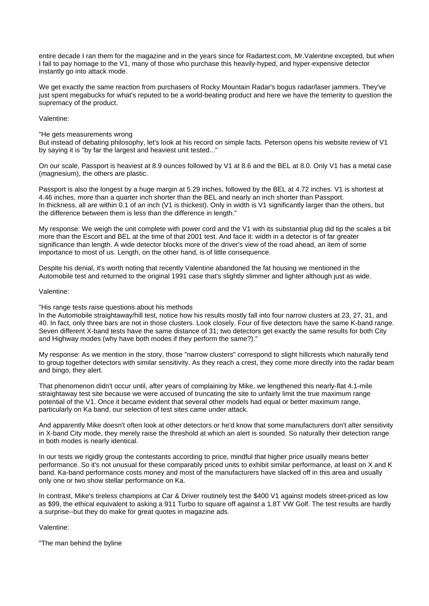entire decade I ran them for the magazine and in the years since for Radartest.com, Mr.Valentine excepted, but when I fail to pay homage to the V1, many of those who purchase this heavily-hyped, and hyper-expensive detector instantly go into attack mode.

We get exactly the same reaction from purchasers of Rocky Mountain Radar's bogus radar/laser jammers. They've just spent megabucks for what's reputed to be a world-beating product and here we have the temerity to question the supremacy of the product.

### Valentine:

"He gets measurements wrong But instead of debating philosophy, let's look at his record on simple facts. Peterson opens his website review of V1 by saying it is "by far the largest and heaviest unit tested..."

On our scale, Passport is heaviest at 8.9 ounces followed by V1 at 8.6 and the BEL at 8.0. Only V1 has a metal case (magnesium), the others are plastic.

Passport is also the longest by a huge margin at 5.29 inches, followed by the BEL at 4.72 inches. V1 is shortest at 4.46 inches, more than a quarter inch shorter than the BEL and nearly an inch shorter than Passport. In thickness, all are within 0.1 of an inch (V1 is thickest). Only in width is V1 significantly larger than the others, but the difference between them is less than the difference in length."

My response: We weigh the unit complete with power cord and the V1 with its substantial plug did tip the scales a bit more than the Escort and BEL at the time of that 2001 test. And face it: width in a detector is of far greater significance than length. A wide detector blocks more of the driver's view of the road ahead, an item of some importance to most of us. Length, on the other hand, is of little consequence.

Despite his denial, it's worth noting that recently Valentine abandoned the fat housing we mentioned in the Automobile test and returned to the original 1991 case that's slightly slimmer and lighter although just as wide.

### Valentine:

# "His range tests raise questions about his methods

In the Automobile straightaway/hill test, notice how his results mostly fall into four narrow clusters at 23, 27, 31, and 40. In fact, only three bars are not in those clusters. Look closely. Four of five detectors have the same K-band range. Seven different X-band tests have the same distance of 31; two detectors get exactly the same results for both City and Highway modes (why have both modes if they perform the same?)."

My response: As we mention in the story, those "narrow clusters" correspond to slight hillcrests which naturally tend to group together detectors with similar sensitivity. As they reach a crest, they come more directly into the radar beam and bingo, they alert.

That phenomenon didn't occur until, after years of complaining by Mike, we lengthened this nearly-flat 4.1-mile straightaway test site because we were accused of truncating the site to unfairly limit the true maximum range potential of the V1. Once it became evident that several other models had equal or better maximum range, particularly on Ka band, our selection of test sites came under attack.

And apparently Mike doesn't often look at other detectors or he'd know that some manufacturers don't alter sensitivity in X-band City mode, they merely raise the threshold at which an alert is sounded. So naturally their detection range in both modes is nearly identical.

In our tests we rigidly group the contestants according to price, mindful that higher price usually means better performance. So it's not unusual for these comparably priced units to exhibit similar performance, at least on X and K band. Ka-band performance costs money and most of the manufacturers have slacked off in this area and usually only one or two show stellar performance on Ka.

In contrast, Mike's tireless champions at Car & Driver routinely test the \$400 V1 against models street-priced as low as \$99, the ethical equivalent to asking a 911 Turbo to square off against a 1.8T VW Golf. The test results are hardly a surprise--but they do make for great quotes in magazine ads.

# Valentine:

"The man behind the byline